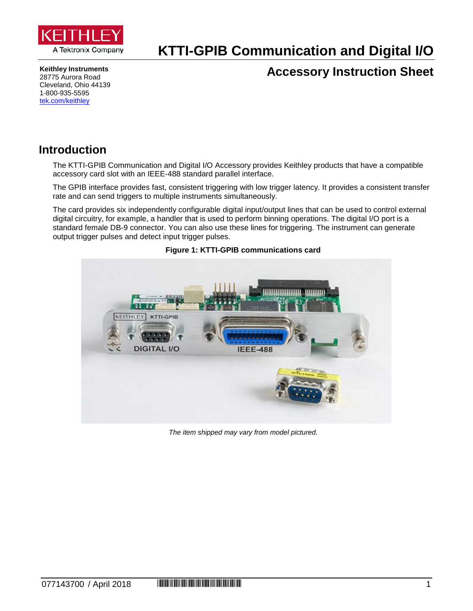

# **KTTI-GPIB Communication and Digital I/O**

**Keithley Instruments** 28775 Aurora Road Cleveland, Ohio 44139

1-800-935-5595 [tek.com/keithley](http://www.tek.com/keithley) **Accessory Instruction Sheet**

### **Introduction**

The KTTI-GPIB Communication and Digital I/O Accessory provides Keithley products that have a compatible accessory card slot with an IEEE-488 standard parallel interface.

The GPIB interface provides fast, consistent triggering with low trigger latency. It provides a consistent transfer rate and can send triggers to multiple instruments simultaneously.

The card provides six independently configurable digital input/output lines that can be used to control external digital circuitry, for example, a handler that is used to perform binning operations. The digital I/O port is a standard female DB-9 connector. You can also use these lines for triggering. The instrument can generate output trigger pulses and detect input trigger pulses.



#### **Figure 1: KTTI-GPIB communications card**

*The item shipped may vary from model pictured.*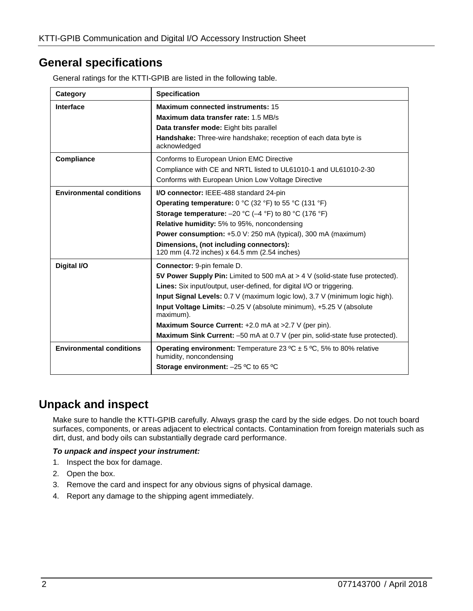### **General specifications**

| Category                        | <b>Specification</b>                                                                                                                                                                                                                                                                                                                                                                                                                                                                                                   |  |
|---------------------------------|------------------------------------------------------------------------------------------------------------------------------------------------------------------------------------------------------------------------------------------------------------------------------------------------------------------------------------------------------------------------------------------------------------------------------------------------------------------------------------------------------------------------|--|
| Interface                       | <b>Maximum connected instruments: 15</b><br>Maximum data transfer rate: 1.5 MB/s<br>Data transfer mode: Eight bits parallel<br><b>Handshake:</b> Three-wire handshake; reception of each data byte is<br>acknowledged                                                                                                                                                                                                                                                                                                  |  |
| <b>Compliance</b>               | Conforms to European Union EMC Directive<br>Compliance with CE and NRTL listed to UL61010-1 and UL61010-2-30<br>Conforms with European Union Low Voltage Directive                                                                                                                                                                                                                                                                                                                                                     |  |
| <b>Environmental conditions</b> | I/O connector: IEEE-488 standard 24-pin<br><b>Operating temperature:</b> $0^{\circ}$ C (32 $^{\circ}$ F) to 55 $^{\circ}$ C (131 $^{\circ}$ F)<br><b>Storage temperature:</b> $-20$ °C ( $-4$ °F) to 80 °C (176 °F)<br>Relative humidity: 5% to 95%, noncondensing<br><b>Power consumption:</b> +5.0 V: 250 mA (typical), 300 mA (maximum)<br>Dimensions, (not including connectors):<br>120 mm (4.72 inches) x 64.5 mm (2.54 inches)                                                                                  |  |
| Digital I/O                     | <b>Connector: 9-pin female D.</b><br>5V Power Supply Pin: Limited to 500 mA at $>$ 4 V (solid-state fuse protected).<br>Lines: Six input/output, user-defined, for digital I/O or triggering.<br><b>Input Signal Levels:</b> 0.7 V (maximum logic low), 3.7 V (minimum logic high).<br>Input Voltage Limits: -0.25 V (absolute minimum), +5.25 V (absolute<br>maximum).<br>Maximum Source Current: +2.0 mA at >2.7 V (per pin).<br><b>Maximum Sink Current:</b> -50 mA at 0.7 V (per pin, solid-state fuse protected). |  |
| <b>Environmental conditions</b> | <b>Operating environment:</b> Temperature 23 °C $\pm$ 5 °C, 5% to 80% relative<br>humidity, noncondensing<br>Storage environment: -25 °C to 65 °C                                                                                                                                                                                                                                                                                                                                                                      |  |

General ratings for the KTTI-GPIB are listed in the following table.

### **Unpack and inspect**

Make sure to handle the KTTI-GPIB carefully. Always grasp the card by the side edges. Do not touch board surfaces, components, or areas adjacent to electrical contacts. Contamination from foreign materials such as dirt, dust, and body oils can substantially degrade card performance.

#### *To unpack and inspect your instrument:*

- 1. Inspect the box for damage.
- 2. Open the box.
- 3. Remove the card and inspect for any obvious signs of physical damage.
- 4. Report any damage to the shipping agent immediately.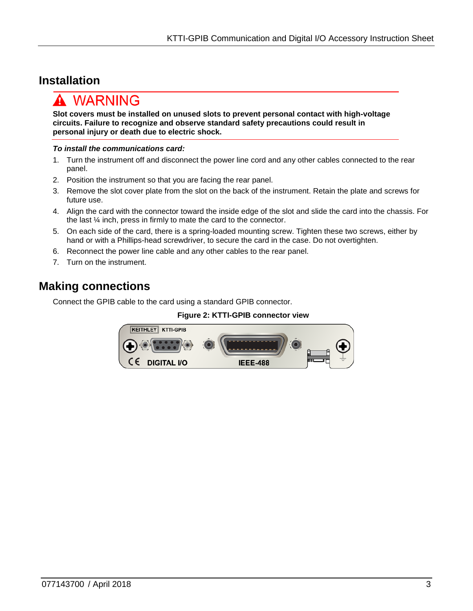### **Installation**

# A WARNING

**Slot covers must be installed on unused slots to prevent personal contact with high-voltage circuits. Failure to recognize and observe standard safety precautions could result in personal injury or death due to electric shock.**

#### *To install the communications card:*

- 1. Turn the instrument off and disconnect the power line cord and any other cables connected to the rear panel.
- 2. Position the instrument so that you are facing the rear panel.
- 3. Remove the slot cover plate from the slot on the back of the instrument. Retain the plate and screws for future use.
- 4. Align the card with the connector toward the inside edge of the slot and slide the card into the chassis. For the last ¼ inch, press in firmly to mate the card to the connector.
- 5. On each side of the card, there is a spring-loaded mounting screw. Tighten these two screws, either by hand or with a Phillips-head screwdriver, to secure the card in the case. Do not overtighten.
- 6. Reconnect the power line cable and any other cables to the rear panel.
- 7. Turn on the instrument.

### **Making connections**

Connect the GPIB cable to the card using a standard GPIB connector.

#### **Figure 2: KTTI-GPIB connector view**

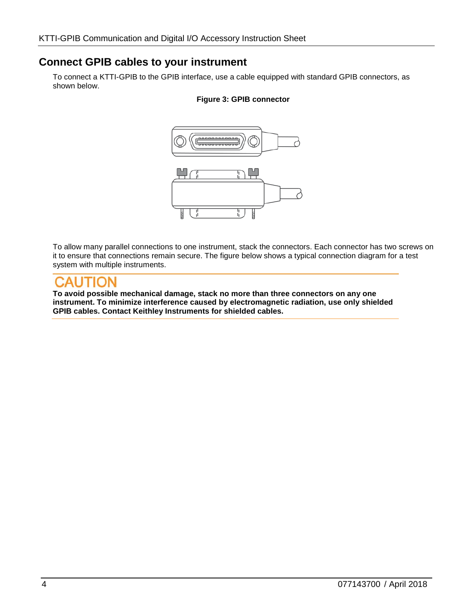### **Connect GPIB cables to your instrument**

To connect a KTTI-GPIB to the GPIB interface, use a cable equipped with standard GPIB connectors, as shown below.

#### **Figure 3: GPIB connector**



To allow many parallel connections to one instrument, stack the connectors. Each connector has two screws on it to ensure that connections remain secure. The figure below shows a typical connection diagram for a test system with multiple instruments.

**To avoid possible mechanical damage, stack no more than three connectors on any one instrument. To minimize interference caused by electromagnetic radiation, use only shielded GPIB cables. Contact Keithley Instruments for shielded cables.**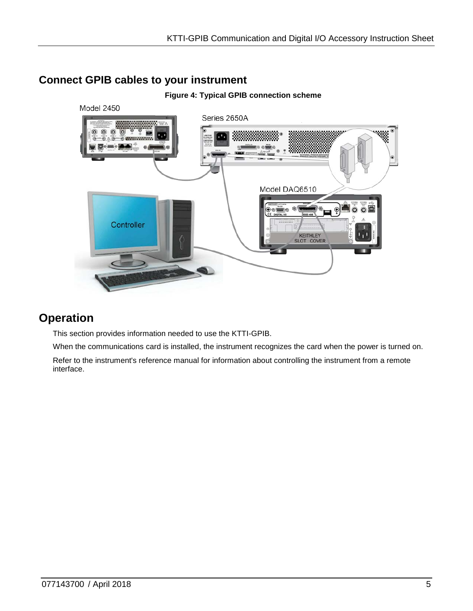### **Connect GPIB cables to your instrument**

**Figure 4: Typical GPIB connection scheme**



# **Operation**

This section provides information needed to use the KTTI-GPIB.

When the communications card is installed, the instrument recognizes the card when the power is turned on.

Refer to the instrument's reference manual for information about controlling the instrument from a remote interface.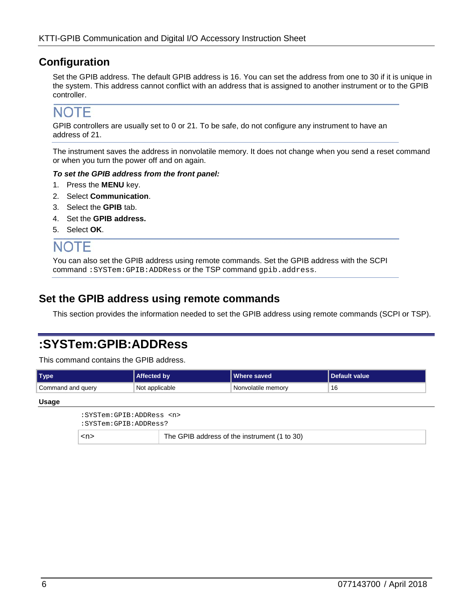### **Configuration**

Set the GPIB address. The default GPIB address is 16. You can set the address from one to 30 if it is unique in the system. This address cannot conflict with an address that is assigned to another instrument or to the GPIB controller.

# **NOTE**

GPIB controllers are usually set to 0 or 21. To be safe, do not configure any instrument to have an address of 21.

The instrument saves the address in nonvolatile memory. It does not change when you send a reset command or when you turn the power off and on again.

#### *To set the GPIB address from the front panel:*

- 1. Press the **MENU** key.
- 2. Select **Communication**.
- 3. Select the **GPIB** tab.
- 4. Set the **GPIB address.**
- 5. Select **OK**.

# **NOTF**

You can also set the GPIB address using remote commands. Set the GPIB address with the SCPI command :SYSTem:GPIB:ADDRess or the TSP command gpib.address.

### **Set the GPIB address using remote commands**

This section provides the information needed to set the GPIB address using remote commands (SCPI or TSP).

## **:SYSTem:GPIB:ADDRess**

This command contains the GPIB address.

| $ $ Type          | Affected bv    | <b>Nhere saved</b> ' | I Default value |
|-------------------|----------------|----------------------|-----------------|
| Command and query | Not applicable | Nonvolatile memory   | 16              |

**Usage**

| :SYSTem:GPIB:ADDRess <n><br/>:SYSTem:GPIB:ADDRess?</n> |                                              |  |
|--------------------------------------------------------|----------------------------------------------|--|
| <n></n>                                                | The GPIB address of the instrument (1 to 30) |  |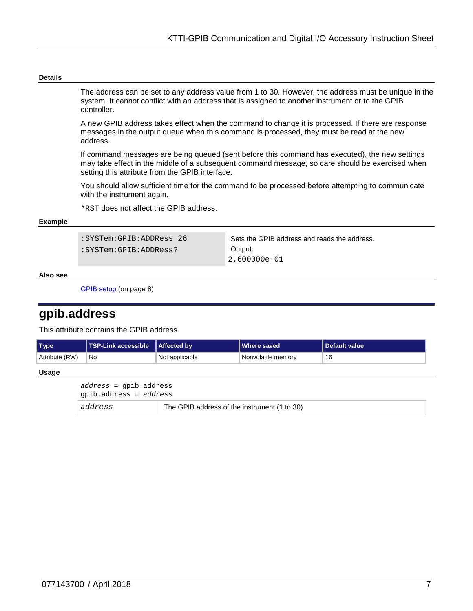#### **Details**

The address can be set to any address value from 1 to 30. However, the address must be unique in the system. It cannot conflict with an address that is assigned to another instrument or to the GPIB controller.

A new GPIB address takes effect when the command to change it is processed. If there are response messages in the output queue when this command is processed, they must be read at the new address.

If command messages are being queued (sent before this command has executed), the new settings may take effect in the middle of a subsequent command message, so care should be exercised when setting this attribute from the GPIB interface.

You should allow sufficient time for the command to be processed before attempting to communicate with the instrument again.

\*RST does not affect the GPIB address.

#### **Example**

:SYSTem:GPIB:ADDRess 26 :SYSTem:GPIB:ADDRess?

Sets the GPIB address and reads the address. Output: 2.600000e+01

#### **Also see**

GPIB setup (on page [8\)](#page-7-0)

### **gpib.address**

This attribute contains the GPIB address.

| <b>Type</b>          | TSP-Link accessible   Affected by |                    | Where saved          | l Default value |
|----------------------|-----------------------------------|--------------------|----------------------|-----------------|
| No<br>Attribute (RW) |                                   | ® Not applicable ⊹ | l Nonvolatile memorv | 16              |

#### **Usage**

| address = qpib.address<br>qpib.address = <i>address</i> |                                              |  |
|---------------------------------------------------------|----------------------------------------------|--|
| address                                                 | The GPIB address of the instrument (1 to 30) |  |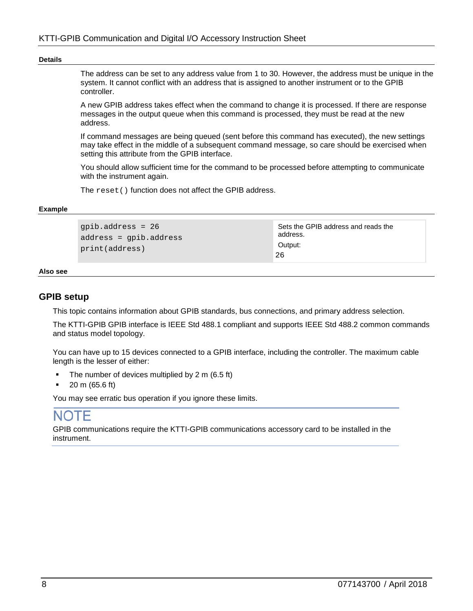#### **Details**

The address can be set to any address value from 1 to 30. However, the address must be unique in the system. It cannot conflict with an address that is assigned to another instrument or to the GPIB controller.

A new GPIB address takes effect when the command to change it is processed. If there are response messages in the output queue when this command is processed, they must be read at the new address.

If command messages are being queued (sent before this command has executed), the new settings may take effect in the middle of a subsequent command message, so care should be exercised when setting this attribute from the GPIB interface.

You should allow sufficient time for the command to be processed before attempting to communicate with the instrument again.

The reset() function does not affect the GPIB address.

#### **Example**

gpib.address = 26 address = gpib.address print(address)

Sets the GPIB address and reads the address. Output: 26

#### **Also see**

#### <span id="page-7-0"></span>**GPIB setup**

This topic contains information about GPIB standards, bus connections, and primary address selection.

The KTTI-GPIB GPIB interface is IEEE Std 488.1 compliant and supports IEEE Std 488.2 common commands and status model topology.

You can have up to 15 devices connected to a GPIB interface, including the controller. The maximum cable length is the lesser of either:

- The number of devices multiplied by 2 m (6.5 ft)
- 20 m (65.6 ft)

You may see erratic bus operation if you ignore these limits.

## NOTE

GPIB communications require the KTTI-GPIB communications accessory card to be installed in the instrument.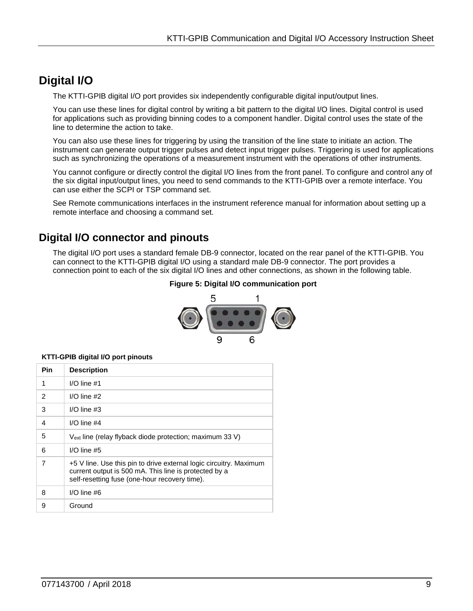# **Digital I/O**

The KTTI-GPIB digital I/O port provides six independently configurable digital input/output lines.

You can use these lines for digital control by writing a bit pattern to the digital I/O lines. Digital control is used for applications such as providing binning codes to a component handler. Digital control uses the state of the line to determine the action to take.

You can also use these lines for triggering by using the transition of the line state to initiate an action. The instrument can generate output trigger pulses and detect input trigger pulses. Triggering is used for applications such as synchronizing the operations of a measurement instrument with the operations of other instruments.

You cannot configure or directly control the digital I/O lines from the front panel. To configure and control any of the six digital input/output lines, you need to send commands to the KTTI-GPIB over a remote interface. You can use either the SCPI or TSP command set.

See Remote communications interfaces in the instrument reference manual for information about setting up a remote interface and choosing a command set.

### **Digital I/O connector and pinouts**

The digital I/O port uses a standard female DB-9 connector, located on the rear panel of the KTTI-GPIB. You can connect to the KTTI-GPIB digital I/O using a standard male DB-9 connector. The port provides a connection point to each of the six digital I/O lines and other connections, as shown in the following table.

#### **Figure 5: Digital I/O communication port**



#### **KTTI-GPIB digital I/O port pinouts**

| <b>Pin</b> | <b>Description</b>                                                                                                                                                           |
|------------|------------------------------------------------------------------------------------------------------------------------------------------------------------------------------|
| 1          | $I/O$ line $#1$                                                                                                                                                              |
| 2          | $I/O$ line #2                                                                                                                                                                |
| 3          | $I/O$ line #3                                                                                                                                                                |
| 4          | $I/O$ line $#4$                                                                                                                                                              |
| 5          | $V_{ext}$ line (relay flyback diode protection; maximum 33 V)                                                                                                                |
| 6          | $I/O$ line #5                                                                                                                                                                |
| 7          | +5 V line. Use this pin to drive external logic circuitry. Maximum<br>current output is 500 mA. This line is protected by a<br>self-resetting fuse (one-hour recovery time). |
| 8          | $I/O$ line $#6$                                                                                                                                                              |
| 9          | Ground                                                                                                                                                                       |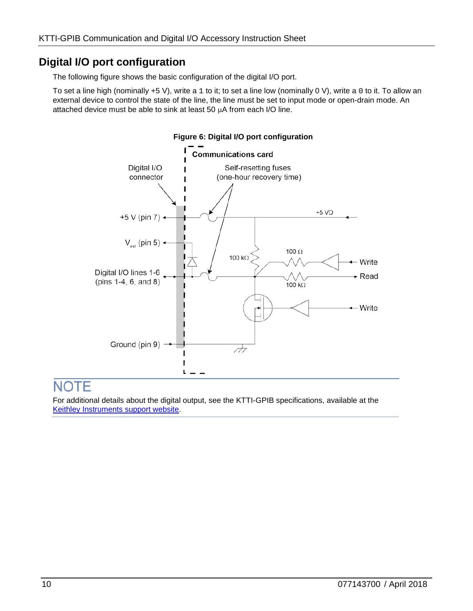### **Digital I/O port configuration**

The following figure shows the basic configuration of the digital I/O port.

To set a line high (nominally +5 V), write a 1 to it; to set a line low (nominally 0 V), write a 0 to it. To allow an external device to control the state of the line, the line must be set to input mode or open-drain mode. An attached device must be able to sink at least 50 µA from each I/O line.



# NOTE

For additional details about the digital output, see the KTTI-GPIB specifications, available at the Keithley Instruments support website.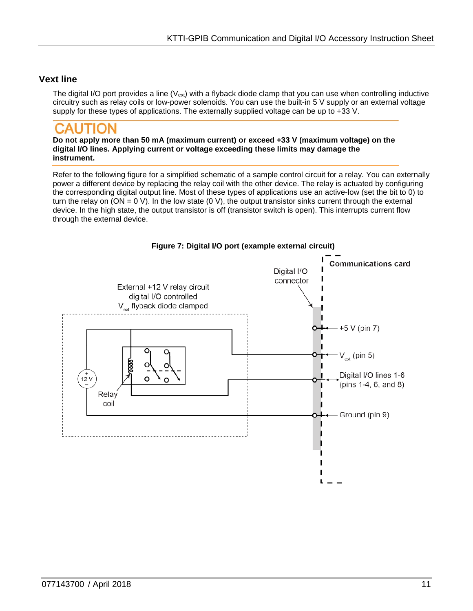### **Vext line**

The digital I/O port provides a line  $(V_{ext})$  with a flyback diode clamp that you can use when controlling inductive circuitry such as relay coils or low-power solenoids. You can use the built-in 5 V supply or an external voltage supply for these types of applications. The externally supplied voltage can be up to +33 V.

**Do not apply more than 50 mA (maximum current) or exceed +33 V (maximum voltage) on the digital I/O lines. Applying current or voltage exceeding these limits may damage the instrument.**

Refer to the following figure for a simplified schematic of a sample control circuit for a relay. You can externally power a different device by replacing the relay coil with the other device. The relay is actuated by configuring the corresponding digital output line. Most of these types of applications use an active-low (set the bit to 0) to turn the relay on  $(ON = 0 V)$ . In the low state (0 V), the output transistor sinks current through the external device. In the high state, the output transistor is off (transistor switch is open). This interrupts current flow through the external device.

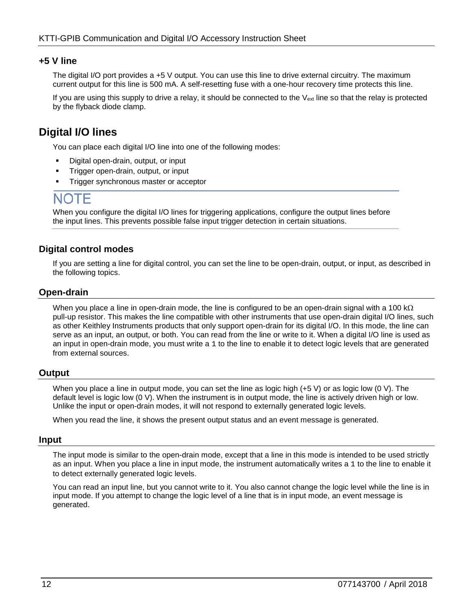#### **+5 V line**

The digital I/O port provides a +5 V output. You can use this line to drive external circuitry. The maximum current output for this line is 500 mA. A self-resetting fuse with a one-hour recovery time protects this line.

If you are using this supply to drive a relay, it should be connected to the  $V_{ext}$  line so that the relay is protected by the flyback diode clamp.

### **Digital I/O lines**

You can place each digital I/O line into one of the following modes:

- Digital open-drain, output, or input
- **Trigger open-drain, output, or input**
- Trigger synchronous master or acceptor

### NOTF

When you configure the digital I/O lines for triggering applications, configure the output lines before the input lines. This prevents possible false input trigger detection in certain situations.

#### **Digital control modes**

If you are setting a line for digital control, you can set the line to be open-drain, output, or input, as described in the following topics.

#### **Open-drain**

When you place a line in open-drain mode, the line is configured to be an open-drain signal with a 100 k $\Omega$ pull-up resistor. This makes the line compatible with other instruments that use open-drain digital I/O lines, such as other Keithley Instruments products that only support open-drain for its digital I/O. In this mode, the line can serve as an input, an output, or both. You can read from the line or write to it. When a digital I/O line is used as an input in open-drain mode, you must write a 1 to the line to enable it to detect logic levels that are generated from external sources.

#### **Output**

When you place a line in output mode, you can set the line as logic high (+5 V) or as logic low (0 V). The default level is logic low (0 V). When the instrument is in output mode, the line is actively driven high or low. Unlike the input or open-drain modes, it will not respond to externally generated logic levels.

When you read the line, it shows the present output status and an event message is generated.

#### **Input**

The input mode is similar to the open-drain mode, except that a line in this mode is intended to be used strictly as an input. When you place a line in input mode, the instrument automatically writes a 1 to the line to enable it to detect externally generated logic levels.

You can read an input line, but you cannot write to it. You also cannot change the logic level while the line is in input mode. If you attempt to change the logic level of a line that is in input mode, an event message is generated.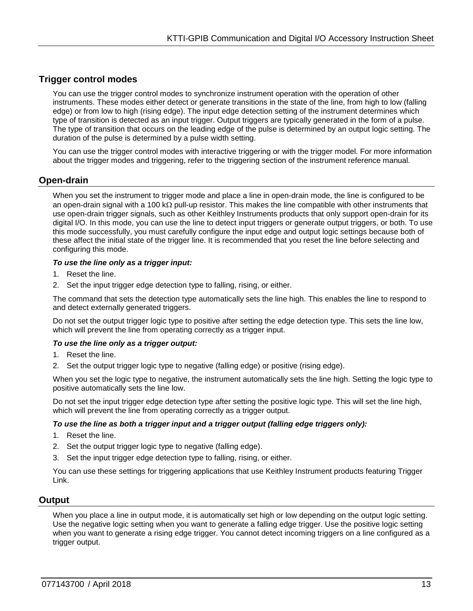#### **Trigger control modes**

You can use the trigger control modes to synchronize instrument operation with the operation of other instruments. These modes either detect or generate transitions in the state of the line, from high to low (falling edge) or from low to high (rising edge). The input edge detection setting of the instrument determines which type of transition is detected as an input trigger. Output triggers are typically generated in the form of a pulse. The type of transition that occurs on the leading edge of the pulse is determined by an output logic setting. The duration of the pulse is determined by a pulse width setting.

You can use the trigger control modes with interactive triggering or with the trigger model. For more information about the trigger modes and triggering, refer to the triggering section of the instrument reference manual.

#### **Open-drain**

When you set the instrument to trigger mode and place a line in open-drain mode, the line is configured to be an open-drain signal with a 100 kΩ pull-up resistor. This makes the line compatible with other instruments that use open-drain trigger signals, such as other Keithley Instruments products that only support open-drain for its digital I/O. In this mode, you can use the line to detect input triggers or generate output triggers, or both. To use this mode successfully, you must carefully configure the input edge and output logic settings because both of these affect the initial state of the trigger line. It is recommended that you reset the line before selecting and configuring this mode.

#### *To use the line only as a trigger input:*

- 1. Reset the line.
- 2. Set the input trigger edge detection type to falling, rising, or either.

The command that sets the detection type automatically sets the line high. This enables the line to respond to and detect externally generated triggers.

Do not set the output trigger logic type to positive after setting the edge detection type. This sets the line low, which will prevent the line from operating correctly as a trigger input.

#### *To use the line only as a trigger output:*

- 1. Reset the line.
- 2. Set the output trigger logic type to negative (falling edge) or positive (rising edge).

When you set the logic type to negative, the instrument automatically sets the line high. Setting the logic type to positive automatically sets the line low.

Do not set the input trigger edge detection type after setting the positive logic type. This will set the line high, which will prevent the line from operating correctly as a trigger output.

#### *To use the line as both a trigger input and a trigger output (falling edge triggers only):*

- 1. Reset the line.
- 2. Set the output trigger logic type to negative (falling edge).
- 3. Set the input trigger edge detection type to falling, rising, or either.

You can use these settings for triggering applications that use Keithley Instrument products featuring Trigger Link.

#### **Output**

When you place a line in output mode, it is automatically set high or low depending on the output logic setting. Use the negative logic setting when you want to generate a falling edge trigger. Use the positive logic setting when you want to generate a rising edge trigger. You cannot detect incoming triggers on a line configured as a trigger output.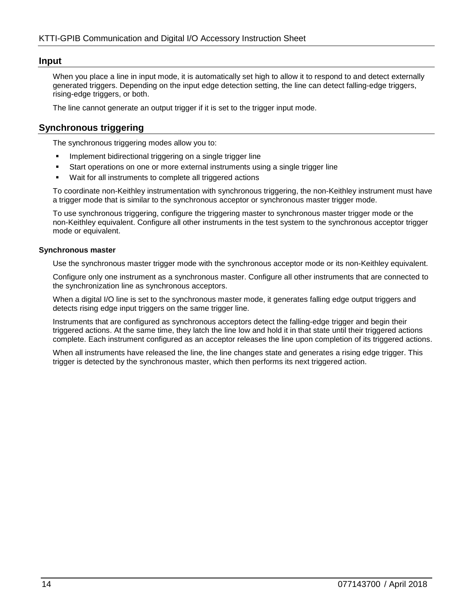#### **Input**

When you place a line in input mode, it is automatically set high to allow it to respond to and detect externally generated triggers. Depending on the input edge detection setting, the line can detect falling-edge triggers, rising-edge triggers, or both.

The line cannot generate an output trigger if it is set to the trigger input mode.

### **Synchronous triggering**

The synchronous triggering modes allow you to:

- Implement bidirectional triggering on a single trigger line
- Start operations on one or more external instruments using a single trigger line
- Wait for all instruments to complete all triggered actions

To coordinate non-Keithley instrumentation with synchronous triggering, the non-Keithley instrument must have a trigger mode that is similar to the synchronous acceptor or synchronous master trigger mode.

To use synchronous triggering, configure the triggering master to synchronous master trigger mode or the non-Keithley equivalent. Configure all other instruments in the test system to the synchronous acceptor trigger mode or equivalent.

#### **Synchronous master**

Use the synchronous master trigger mode with the synchronous acceptor mode or its non-Keithley equivalent.

Configure only one instrument as a synchronous master. Configure all other instruments that are connected to the synchronization line as synchronous acceptors.

When a digital I/O line is set to the synchronous master mode, it generates falling edge output triggers and detects rising edge input triggers on the same trigger line.

Instruments that are configured as synchronous acceptors detect the falling-edge trigger and begin their triggered actions. At the same time, they latch the line low and hold it in that state until their triggered actions complete. Each instrument configured as an acceptor releases the line upon completion of its triggered actions.

When all instruments have released the line, the line changes state and generates a rising edge trigger. This trigger is detected by the synchronous master, which then performs its next triggered action.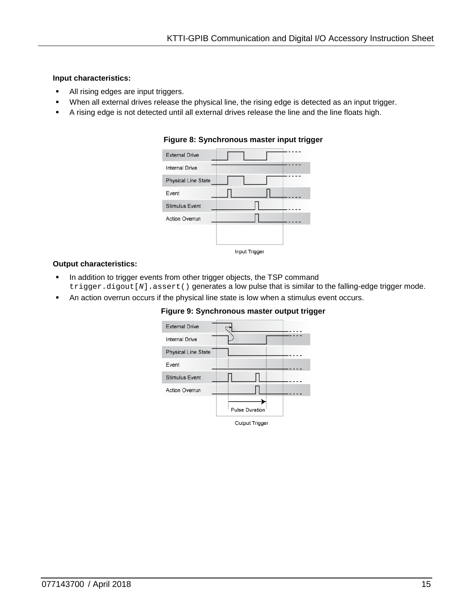#### **Input characteristics:**

- **All rising edges are input triggers.**
- When all external drives release the physical line, the rising edge is detected as an input trigger.
- A rising edge is not detected until all external drives release the line and the line floats high.

| <b>External Drive</b>      |               |
|----------------------------|---------------|
| <b>Internal Drive</b>      |               |
| <b>Physical Line State</b> |               |
| Event                      |               |
| <b>Stimulus Event</b>      |               |
| <b>Action Overrun</b>      |               |
|                            |               |
|                            |               |
|                            | Input Trigger |

#### **Figure 8: Synchronous master input trigger**

#### **Output characteristics:**

- In addition to trigger events from other trigger objects, the TSP command trigger.digout[*N*].assert() generates a low pulse that is similar to the falling-edge trigger mode.
- An action overrun occurs if the physical line state is low when a stimulus event occurs.

| <b>External Drive</b>      |                       |
|----------------------------|-----------------------|
| <b>Internal Drive</b>      |                       |
| <b>Physical Line State</b> |                       |
| Event                      |                       |
| <b>Stimulus Event</b>      |                       |
| <b>Action Overrun</b>      |                       |
|                            |                       |
|                            | <b>Pulse Duration</b> |
|                            | Output Trigger        |

#### **Figure 9: Synchronous master output trigger**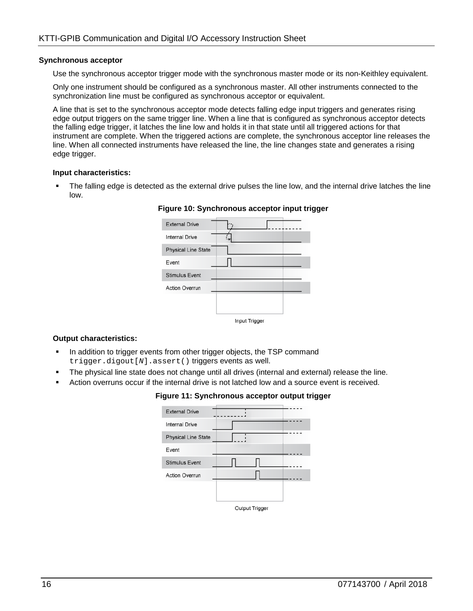#### **Synchronous acceptor**

Use the synchronous acceptor trigger mode with the synchronous master mode or its non-Keithley equivalent.

Only one instrument should be configured as a synchronous master. All other instruments connected to the synchronization line must be configured as synchronous acceptor or equivalent.

A line that is set to the synchronous acceptor mode detects falling edge input triggers and generates rising edge output triggers on the same trigger line. When a line that is configured as synchronous acceptor detects the falling edge trigger, it latches the line low and holds it in that state until all triggered actions for that instrument are complete. When the triggered actions are complete, the synchronous acceptor line releases the line. When all connected instruments have released the line, the line changes state and generates a rising edge trigger.

#### **Input characteristics:**

 The falling edge is detected as the external drive pulses the line low, and the internal drive latches the line low.

| <b>External Drive</b>      |               |
|----------------------------|---------------|
| <b>Internal Drive</b>      |               |
| <b>Physical Line State</b> |               |
| Event                      |               |
| <b>Stimulus Event</b>      |               |
| <b>Action Overrun</b>      |               |
|                            |               |
|                            |               |
|                            | Input Trigger |

#### **Figure 10: Synchronous acceptor input trigger**

#### **Output characteristics:**

- In addition to trigger events from other trigger objects, the TSP command trigger.digout[*N*].assert() triggers events as well.
- The physical line state does not change until all drives (internal and external) release the line.
- Action overruns occur if the internal drive is not latched low and a source event is received.

#### **Figure 11: Synchronous acceptor output trigger**

| <b>External Drive</b>      |                |  |
|----------------------------|----------------|--|
| <b>Internal Drive</b>      |                |  |
| <b>Physical Line State</b> |                |  |
| Event                      |                |  |
| <b>Stimulus Event</b>      |                |  |
| <b>Action Overrun</b>      |                |  |
|                            |                |  |
|                            |                |  |
|                            | Output Trigger |  |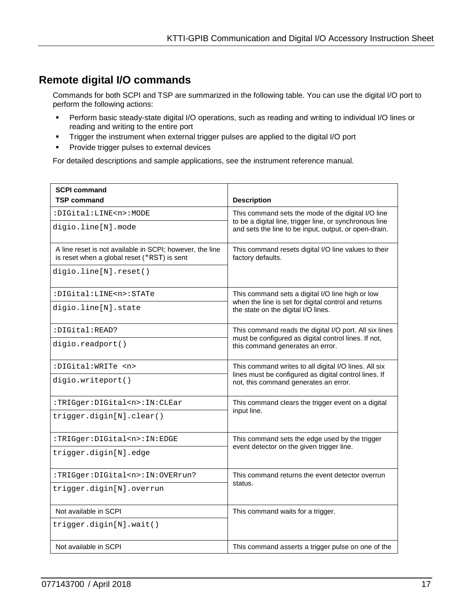### **Remote digital I/O commands**

Commands for both SCPI and TSP are summarized in the following table. You can use the digital I/O port to perform the following actions:

- Perform basic steady-state digital I/O operations, such as reading and writing to individual I/O lines or reading and writing to the entire port
- Trigger the instrument when external trigger pulses are applied to the digital I/O port
- **Provide trigger pulses to external devices**

For detailed descriptions and sample applications, see the instrument reference manual.

| <b>SCPI command</b>                                                                                     |                                                                                                                                                                        |  |
|---------------------------------------------------------------------------------------------------------|------------------------------------------------------------------------------------------------------------------------------------------------------------------------|--|
| <b>TSP command</b>                                                                                      | <b>Description</b>                                                                                                                                                     |  |
| :DIGital:LINE <n>:MODE</n>                                                                              | This command sets the mode of the digital I/O line<br>to be a digital line, trigger line, or synchronous line<br>and sets the line to be input, output, or open-drain. |  |
| digio.line[N].mode                                                                                      |                                                                                                                                                                        |  |
| A line reset is not available in SCPI; however, the line<br>is reset when a global reset (*RST) is sent | This command resets digital I/O line values to their<br>factory defaults.                                                                                              |  |
| digio.line[N].reset()                                                                                   |                                                                                                                                                                        |  |
| :DIGital:LINE <n>:STATe</n>                                                                             | This command sets a digital I/O line high or low                                                                                                                       |  |
| digio.line[N].state                                                                                     | when the line is set for digital control and returns<br>the state on the digital I/O lines.                                                                            |  |
| :DIGital:READ?                                                                                          | This command reads the digital I/O port. All six lines                                                                                                                 |  |
| digio.readport()                                                                                        | must be configured as digital control lines. If not,<br>this command generates an error.                                                                               |  |
| :DIGital:WRITe <n></n>                                                                                  | This command writes to all digital I/O lines. All six                                                                                                                  |  |
| digio.writeport()                                                                                       | lines must be configured as digital control lines. If<br>not, this command generates an error.                                                                         |  |
| :TRIGger:DIGital <n>:IN:CLEar</n>                                                                       | This command clears the trigger event on a digital                                                                                                                     |  |
| trigger.digin[N].clear()                                                                                | input line.                                                                                                                                                            |  |
| :TRIGger:DIGital <n>:IN:EDGE</n>                                                                        | This command sets the edge used by the trigger                                                                                                                         |  |
| trigger.digin[N].edge                                                                                   | event detector on the given trigger line.                                                                                                                              |  |
| :TRIGger:DIGital <n>:IN:OVERrun?</n>                                                                    | This command returns the event detector overrun                                                                                                                        |  |
| trigger.digin[N].overrun                                                                                | status.                                                                                                                                                                |  |
| Not available in SCPI                                                                                   | This command waits for a trigger.                                                                                                                                      |  |
| trigger.digin[N].wait()                                                                                 |                                                                                                                                                                        |  |
| Not available in SCPI                                                                                   | This command asserts a trigger pulse on one of the                                                                                                                     |  |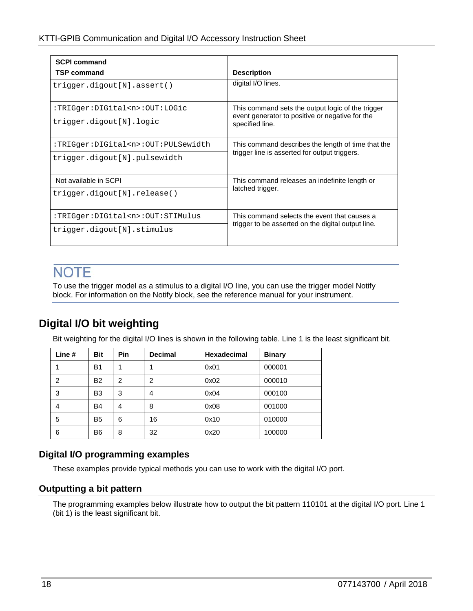| <b>SCPI command</b><br><b>TSP command</b>                      | <b>Description</b>                                                                                                      |
|----------------------------------------------------------------|-------------------------------------------------------------------------------------------------------------------------|
| trigger.diqout[N].assert()                                     | digital I/O lines.                                                                                                      |
| :TRIGger:DIGital <n>:OUT:LOGic<br/>trigger.digout[N].logic</n> | This command sets the output logic of the trigger<br>event generator to positive or negative for the<br>specified line. |
| :TRIGger:DIGital <n>:OUT:PULSewidth</n>                        | This command describes the length of time that the                                                                      |
| trigger.digout[N].pulsewidth                                   | trigger line is asserted for output triggers.                                                                           |
| Not available in SCPI                                          | This command releases an indefinite length or                                                                           |
| trigger.digout[N].release()                                    | latched trigger.                                                                                                        |
| :TRIGger:DIGital <n>:OUT:STIMulus</n>                          | This command selects the event that causes a                                                                            |
| trigger.digout[N].stimulus                                     | trigger to be asserted on the digital output line.                                                                      |

# **NOTE**

To use the trigger model as a stimulus to a digital I/O line, you can use the trigger model Notify block. For information on the Notify block, see the reference manual for your instrument.

### **Digital I/O bit weighting**

Bit weighting for the digital I/O lines is shown in the following table. Line 1 is the least significant bit.

| Line # | <b>Bit</b>     | Pin | <b>Decimal</b> | <b>Hexadecimal</b> | <b>Binary</b> |
|--------|----------------|-----|----------------|--------------------|---------------|
|        | B <sub>1</sub> |     |                | 0x01               | 000001        |
| 2      | <b>B2</b>      | 2   | 2              | 0x02               | 000010        |
| 3      | B <sub>3</sub> | 3   | 4              | 0x04               | 000100        |
| 4      | <b>B4</b>      | 4   | 8              | 0x08               | 001000        |
| 5      | B <sub>5</sub> | 6   | 16             | 0x10               | 010000        |
| 6      | B <sub>6</sub> | 8   | 32             | 0x20               | 100000        |

### **Digital I/O programming examples**

These examples provide typical methods you can use to work with the digital I/O port.

#### **Outputting a bit pattern**

The programming examples below illustrate how to output the bit pattern 110101 at the digital I/O port. Line 1 (bit 1) is the least significant bit.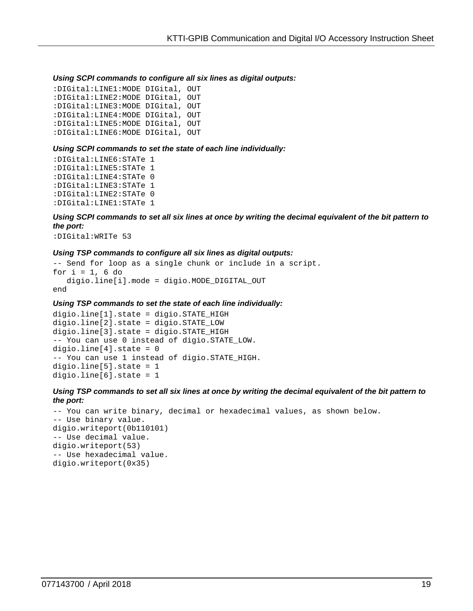#### *Using SCPI commands to configure all six lines as digital outputs:*

:DIGital:LINE1:MODE DIGital, OUT :DIGital:LINE2:MODE DIGital, OUT :DIGital:LINE3:MODE DIGital, OUT :DIGital:LINE4:MODE DIGital, OUT :DIGital:LINE5:MODE DIGital, OUT :DIGital:LINE6:MODE DIGital, OUT

#### *Using SCPI commands to set the state of each line individually:*

:DIGital:LINE6:STATe 1 :DIGital:LINE5:STATe 1 :DIGital:LINE4:STATe 0 :DIGital:LINE3:STATe 1 :DIGital:LINE2:STATe 0 :DIGital:LINE1:STATe 1

#### *Using SCPI commands to set all six lines at once by writing the decimal equivalent of the bit pattern to the port:*

:DIGital:WRITe 53

#### *Using TSP commands to configure all six lines as digital outputs:*

```
-- Send for loop as a single chunk or include in a script.
for i = 1, 6 do
   digio.line[i].mode = digio.MODE_DIGITAL_OUT
end
```
#### *Using TSP commands to set the state of each line individually:*

```
digio.line[1].state = digio.STATE_HIGH
digio.line[2].state = digio.STATE_LOW
digio.line[3].state = digio.STATE_HIGH
-- You can use 0 instead of digio.STATE_LOW.
digio.line[4].state = 0-- You can use 1 instead of digio. STATE HIGH.
digio.line[5].state = 1
digio.line[6].state = 1
```
#### *Using TSP commands to set all six lines at once by writing the decimal equivalent of the bit pattern to the port:*

```
-- You can write binary, decimal or hexadecimal values, as shown below.
-- Use binary value.
digio.writeport(0b110101) 
-- Use decimal value.
digio.writeport(53)
-- Use hexadecimal value.
digio.writeport(0x35)
```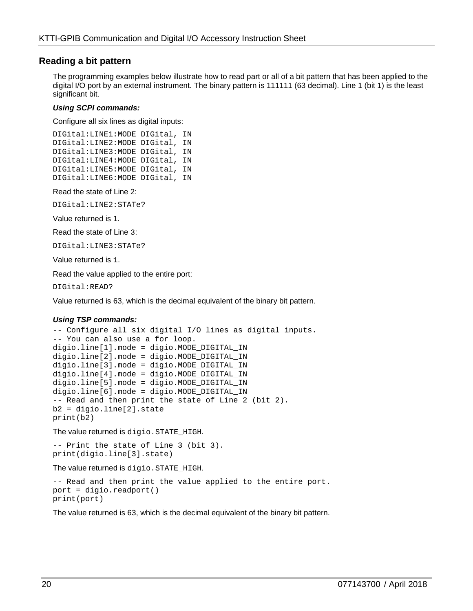#### **Reading a bit pattern**

The programming examples below illustrate how to read part or all of a bit pattern that has been applied to the digital I/O port by an external instrument. The binary pattern is 111111 (63 decimal). Line 1 (bit 1) is the least significant bit.

#### *Using SCPI commands:*

Configure all six lines as digital inputs:

DIGital:LINE1:MODE DIGital, IN DIGital:LINE2:MODE DIGital, IN DIGital:LINE3:MODE DIGital, IN DIGital:LINE4:MODE DIGital, IN DIGital:LINE5:MODE DIGital, IN DIGital:LINE6:MODE DIGital, IN

Read the state of Line 2:

DIGital:LINE2:STATe?

Value returned is 1.

Read the state of Line 3:

DIGital:LINE3:STATe?

Value returned is 1.

Read the value applied to the entire port:

DIGital:READ?

Value returned is 63, which is the decimal equivalent of the binary bit pattern.

#### *Using TSP commands:*

```
-- Configure all six digital I/O lines as digital inputs.
-- You can also use a for loop.
digio.line[1].mode = digio.MODE_DIGITAL_IN
digio.line[2].mode = digio.MODE_DIGITAL_IN
digio.line[3].mode = digio.MODE_DIGITAL_IN
digio.line[4].mode = digio.MODE_DIGITAL_IN
digio.line[5].mode = digio.MODE_DIGITAL_IN
digio.line[6].mode = digio.MODE_DIGITAL_IN
-- Read and then print the state of Line 2 (bit 2).
b2 = digio.line[2].state
print(b2)
```
The value returned is digio.STATE\_HIGH.

-- Print the state of Line 3 (bit 3). print(digio.line[3].state)

The value returned is digio. STATE\_HIGH.

```
-- Read and then print the value applied to the entire port.
port = digio.readport()
print(port)
```
The value returned is 63, which is the decimal equivalent of the binary bit pattern.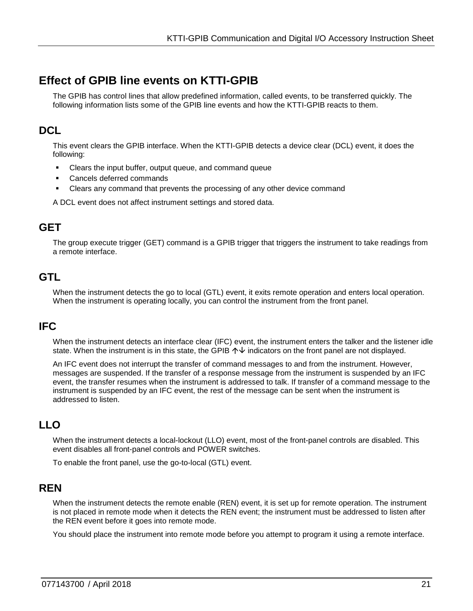## **Effect of GPIB line events on KTTI-GPIB**

The GPIB has control lines that allow predefined information, called events, to be transferred quickly. The following information lists some of the GPIB line events and how the KTTI-GPIB reacts to them.

### **DCL**

This event clears the GPIB interface. When the KTTI-GPIB detects a device clear (DCL) event, it does the following:

- Clears the input buffer, output queue, and command queue
- **Cancels deferred commands**
- **EXECLE** Clears any command that prevents the processing of any other device command

A DCL event does not affect instrument settings and stored data.

### **GET**

The group execute trigger (GET) command is a GPIB trigger that triggers the instrument to take readings from a remote interface.

### **GTL**

When the instrument detects the go to local (GTL) event, it exits remote operation and enters local operation. When the instrument is operating locally, you can control the instrument from the front panel.

### **IFC**

When the instrument detects an interface clear (IFC) event, the instrument enters the talker and the listener idle state. When the instrument is in this state, the GPIB  $\uparrow \downarrow$  indicators on the front panel are not displayed.

An IFC event does not interrupt the transfer of command messages to and from the instrument. However, messages are suspended. If the transfer of a response message from the instrument is suspended by an IFC event, the transfer resumes when the instrument is addressed to talk. If transfer of a command message to the instrument is suspended by an IFC event, the rest of the message can be sent when the instrument is addressed to listen.

### **LLO**

When the instrument detects a local-lockout (LLO) event, most of the front-panel controls are disabled. This event disables all front-panel controls and POWER switches.

To enable the front panel, use the go-to-local (GTL) event.

### **REN**

When the instrument detects the remote enable (REN) event, it is set up for remote operation. The instrument is not placed in remote mode when it detects the REN event; the instrument must be addressed to listen after the REN event before it goes into remote mode.

You should place the instrument into remote mode before you attempt to program it using a remote interface.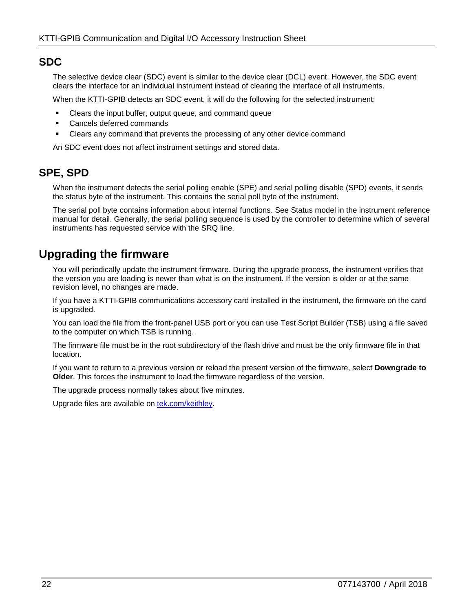### **SDC**

The selective device clear (SDC) event is similar to the device clear (DCL) event. However, the SDC event clears the interface for an individual instrument instead of clearing the interface of all instruments.

When the KTTI-GPIB detects an SDC event, it will do the following for the selected instrument:

- Clears the input buffer, output queue, and command queue
- Cancels deferred commands
- Clears any command that prevents the processing of any other device command

An SDC event does not affect instrument settings and stored data.

### **SPE, SPD**

When the instrument detects the serial polling enable (SPE) and serial polling disable (SPD) events, it sends the status byte of the instrument. This contains the serial poll byte of the instrument.

The serial poll byte contains information about internal functions. See Status model in the instrument reference manual for detail. Generally, the serial polling sequence is used by the controller to determine which of several instruments has requested service with the SRQ line.

### **Upgrading the firmware**

You will periodically update the instrument firmware. During the upgrade process, the instrument verifies that the version you are loading is newer than what is on the instrument. If the version is older or at the same revision level, no changes are made.

If you have a KTTI-GPIB communications accessory card installed in the instrument, the firmware on the card is upgraded.

You can load the file from the front-panel USB port or you can use Test Script Builder (TSB) using a file saved to the computer on which TSB is running.

The firmware file must be in the root subdirectory of the flash drive and must be the only firmware file in that location.

If you want to return to a previous version or reload the present version of the firmware, select **Downgrade to Older**. This forces the instrument to load the firmware regardless of the version.

The upgrade process normally takes about five minutes.

Upgrade files are available on [tek.com/keithley.](https://www.tek.com/keithley)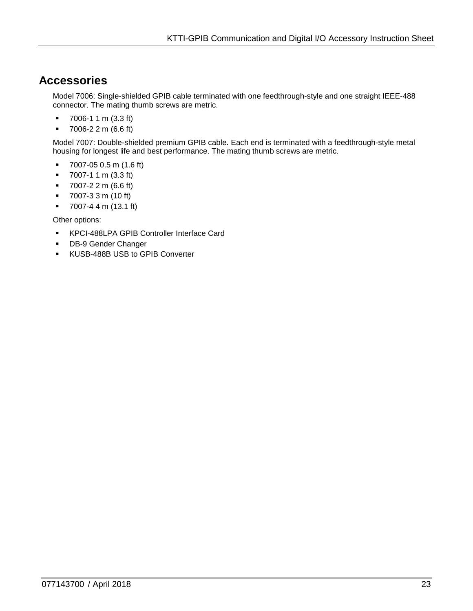### **Accessories**

Model 7006: Single-shielded GPIB cable terminated with one feedthrough-style and one straight IEEE-488 connector. The mating thumb screws are metric.

- $\blacksquare$  7006-1 1 m (3.3 ft)
- 7006-2 2 m (6.6 ft)

Model 7007: Double-shielded premium GPIB cable. Each end is terminated with a feedthrough-style metal housing for longest life and best performance. The mating thumb screws are metric.

- 7007-05 0.5 m (1.6 ft)
- 7007-1 1 m (3.3 ft)
- 7007-2 2 m (6.6 ft)
- 7007-3 3 m (10 ft)
- 7007-4 4 m (13.1 ft)

Other options:

- KPCI-488LPA GPIB Controller Interface Card
- **DB-9 Gender Changer**
- KUSB-488B USB to GPIB Converter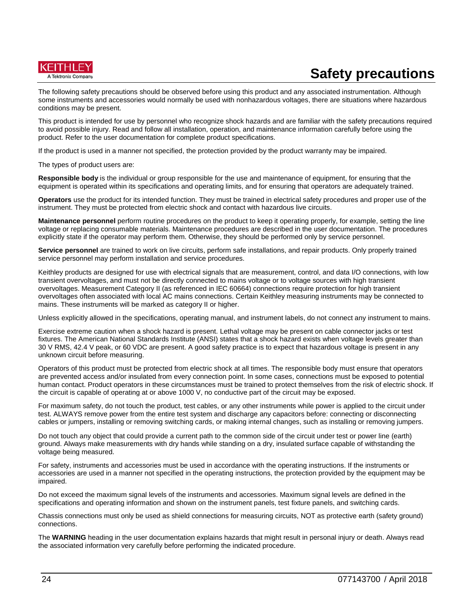

# **Safety precautions**

The following safety precautions should be observed before using this product and any associated instrumentation. Although some instruments and accessories would normally be used with nonhazardous voltages, there are situations where hazardous conditions may be present.

This product is intended for use by personnel who recognize shock hazards and are familiar with the safety precautions required to avoid possible injury. Read and follow all installation, operation, and maintenance information carefully before using the product. Refer to the user documentation for complete product specifications.

If the product is used in a manner not specified, the protection provided by the product warranty may be impaired.

The types of product users are:

**Responsible body** is the individual or group responsible for the use and maintenance of equipment, for ensuring that the equipment is operated within its specifications and operating limits, and for ensuring that operators are adequately trained.

**Operators** use the product for its intended function. They must be trained in electrical safety procedures and proper use of the instrument. They must be protected from electric shock and contact with hazardous live circuits.

**Maintenance personnel** perform routine procedures on the product to keep it operating properly, for example, setting the line voltage or replacing consumable materials. Maintenance procedures are described in the user documentation. The procedures explicitly state if the operator may perform them. Otherwise, they should be performed only by service personnel.

**Service personnel** are trained to work on live circuits, perform safe installations, and repair products. Only properly trained service personnel may perform installation and service procedures.

Keithley products are designed for use with electrical signals that are measurement, control, and data I/O connections, with low transient overvoltages, and must not be directly connected to mains voltage or to voltage sources with high transient overvoltages. Measurement Category II (as referenced in IEC 60664) connections require protection for high transient overvoltages often associated with local AC mains connections. Certain Keithley measuring instruments may be connected to mains. These instruments will be marked as category II or higher.

Unless explicitly allowed in the specifications, operating manual, and instrument labels, do not connect any instrument to mains.

Exercise extreme caution when a shock hazard is present. Lethal voltage may be present on cable connector jacks or test fixtures. The American National Standards Institute (ANSI) states that a shock hazard exists when voltage levels greater than 30 V RMS, 42.4 V peak, or 60 VDC are present. A good safety practice is to expect that hazardous voltage is present in any unknown circuit before measuring.

Operators of this product must be protected from electric shock at all times. The responsible body must ensure that operators are prevented access and/or insulated from every connection point. In some cases, connections must be exposed to potential human contact. Product operators in these circumstances must be trained to protect themselves from the risk of electric shock. If the circuit is capable of operating at or above 1000 V, no conductive part of the circuit may be exposed.

For maximum safety, do not touch the product, test cables, or any other instruments while power is applied to the circuit under test. ALWAYS remove power from the entire test system and discharge any capacitors before: connecting or disconnecting cables or jumpers, installing or removing switching cards, or making internal changes, such as installing or removing jumpers.

Do not touch any object that could provide a current path to the common side of the circuit under test or power line (earth) ground. Always make measurements with dry hands while standing on a dry, insulated surface capable of withstanding the voltage being measured.

For safety, instruments and accessories must be used in accordance with the operating instructions. If the instruments or accessories are used in a manner not specified in the operating instructions, the protection provided by the equipment may be impaired.

Do not exceed the maximum signal levels of the instruments and accessories. Maximum signal levels are defined in the specifications and operating information and shown on the instrument panels, test fixture panels, and switching cards.

Chassis connections must only be used as shield connections for measuring circuits, NOT as protective earth (safety ground) connections.

The **WARNING** heading in the user documentation explains hazards that might result in personal injury or death. Always read the associated information very carefully before performing the indicated procedure.